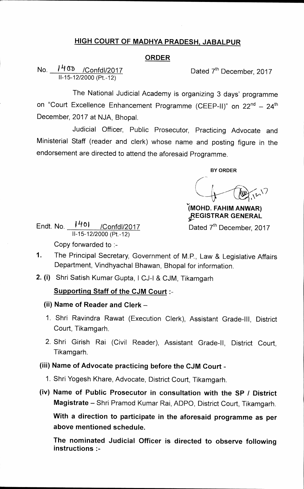### **HIGH COURT OF MADHYA PRADESH, JABALPUR**

### **ORDER**

**No.** <u>*I<sup>H (II</sup>)</del> /Confdl/2017* Dated 7<sup>th</sup> December, 2017</u> **11-15-12/2000 (Pt.-12)** 

**The National Judicial Academy is organizing 3 days' programme**  on "Court Excellence Enhancement Programme (CEEP-II)" on 22<sup>nd</sup> - 24<sup>th</sup> **December, 2017 at NJA, Bhopal.** 

**Judicial Officer, Public Prosecutor, Practicing Advocate and Ministerial Staff (reader and clerk) whose name and posting figure in the endorsement are directed to attend the aforesaid Programme.** 

**BY ORDER** 

**IMOHD. FAHIM AN WAR) pEGISTRAR GENERAL** 

Dated 7<sup>th</sup> December, 2017

**Endt. No. / 11°i /Confd1 /2017 11-15-12/2000 (Pt.-12) Copy forwarded to :-** 

**1. The Principal Secretary, Government of M.P., Law & Legislative Affairs Department, Vindhyachal Bhawan, Bhopal for information.** 

**2. (i) Shri Satish Kumar Gupta, ICJ-1 & CJM, Tikamgarh** 

### **Supporting Staff of the CJM Court :-**

- **(ii) Name of Reader and Clerk**
- **1. Shri Ravindra Rawat (Execution Clerk), Assistant Grade-Ill, District Court, Tikamgarh.**
- **2. Shri Girish Rai (Civil Reader), Assistant Grade-II, District Court, Tikamgarh.**

## **(iii) Name of Advocate practicing before the CJM Court -**

- **1. Shri Yogesh Khare, Advocate, District Court, Tikamgarh.**
- **(iv) Name of Public Prosecutor in consultation with the SP / District Magistrate — Shri Pramod Kumar Rai, ADPO, District Court, Tikamgarh.**

**With a direction to participate in the aforesaid programme as per above mentioned schedule.** 

**The nominated Judicial Officer is directed to observe following instructions**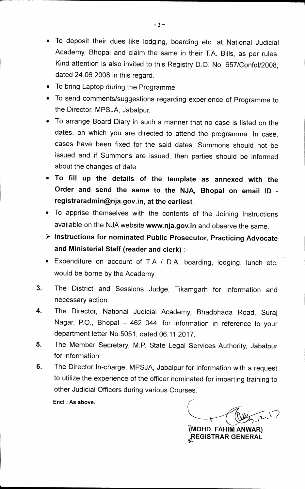- **To deposit their dues like lodging, boarding etc. at National Judicial Academy, Bhopal and claim the same in their T.A. Bills, as per rules. Kind attention is also invited to this Registry D.O. No. 657/Confd1/2008, dated 24.06.2008 in this regard.**
- **To bring Laptop during the Programme.**
- **To send comments/suggestions regarding experience of Programme to the Director, MPSJA, Jabalpur.**
- **To arrange Board Diary in such a manner that no case is listed on the dates, on which you are directed to attend the programme. In case, cases have been fixed for the said dates, Summons should not be issued and if Summons are issued, then parties should be informed about the changes of date.**
- **To fill up the details of the template as annexed with the Order and send the same to the NJA, Bhopal on email ID registraradmin@nja.gov.in, at the earliest.**
- **To apprise themselves with the contents of the Joining Instructions**  available on the NJA website www.nja.gov.in and observe the same.
- **Instructions for nominated Public Prosecutor, Practicing Advocate and Ministerial Staff (reader and clerk) :-**
- **Expenditure on account of T.A / D.A, boarding, lodging, lunch etc. would be borne by the Academy.**
- **3. The District and Sessions Judge, Tikamgarh for information and necessary action.**
- **4. The Director, National Judicial Academy, Bhadbhada Road, Suraj Nagar, P.O., Bhopal — 462 044, for information in reference to your department letter No.5051, dated 06.11.2017.**
- **5. The Member Secretary, M.P. State Legal Services Authority, Jabalpur for information.**
- **6. The Director In-charge, MPSJA, Jabalpur for information with a request to utilize the experience of the officer nominated for imparting training to other Judicial Officers during various Courses.**

Encl : As above.

 $\mathcal{N}$ 

**IMOHD. FAHIM AN WAR)**  fIREGISTRAR **GENERAL**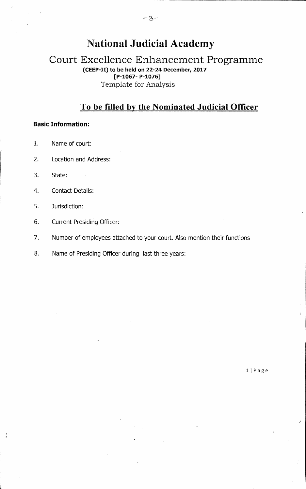# **National Judicial Academy**

### **Court Excellence Enhancement Programme (CEEP-H) to be held on 22-24 December, 2017 [P-1067- P-1076]**  Template for Analysis

# **To be filled by the Nominated Judicial Officer**

### **Basic Information:**

- 1. Name of court:
- 2. Location and Address:
- 3. State:
- 4. Contact Details:
- 5. Jurisdiction:
- 6. Current Presiding Officer:
- 7. Number of employees attached to your court. Also mention their functions
- 8. Name of Presiding Officer during last three years:

**11 Page**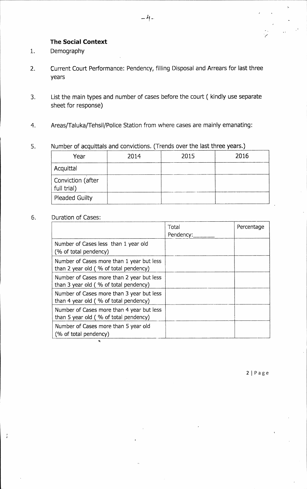### **The Social Context**

- 1. Demography
- 2. Current Court Performance: Pendency, filling Disposal and Arrears for last three years
- 3. List the main types and number of cases before the court ( kindly use separate sheet for response)
- 4. Areas/Taluka/Tehsil/Police Station from where cases are mainly emanating:

### 5. Number of acquittals and convictions. (Trends over the last three years.)

| Year                             | 2014 | 2015 | 2016 |
|----------------------------------|------|------|------|
| Acquittal                        |      |      |      |
| Conviction (after<br>full trial) |      |      |      |
| <b>Pleaded Guilty</b>            |      |      |      |

### 6. Duration of Cases:

 $\frac{1}{\hbar}$ 

|                                                                                    | Total<br>Pendency: | Percentage |
|------------------------------------------------------------------------------------|--------------------|------------|
| Number of Cases less than 1 year old<br>(% of total pendency)                      |                    |            |
| Number of Cases more than 1 year but less<br>than 2 year old (% of total pendency) |                    |            |
| Number of Cases more than 2 year but less<br>than 3 year old (% of total pendency) |                    |            |
| Number of Cases more than 3 year but less<br>than 4 year old (% of total pendency) |                    |            |
| Number of Cases more than 4 year but less<br>than 5 year old (% of total pendency) |                    |            |
| Number of Cases more than 5 year old<br>(% of total pendency)                      |                    |            |

**21 Page**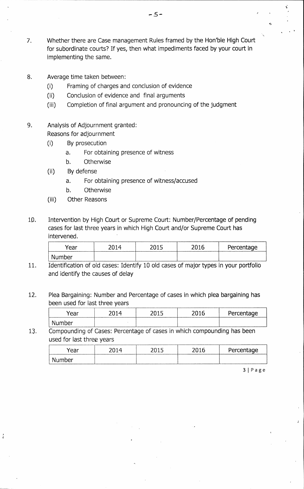- 7. Whether there are Case management Rules framed by the Hon'ble High Court for subordinate courts? If yes, then what impediments faced by your court in implementing the same.
- 8. Average time taken between:
	- (i) Framing of charges and conclusion of evidence
	- (ii) Conclusion of evidence and final arguments
	- (iii) Completion of final argument and pronouncing of the judgment
- 9. Analysis of Adjournment granted: Reasons for adjournment
	- (i) By prosecution
		- a. For obtaining presence of witness
		- b. Otherwise
	- (ii) By defense
		- a. For obtaining presence of witness/accused
		- b. Otherwise
	- (iii) Other Reasons
- 10. Intervention by High Court or Supreme Court: Number/Percentage of pending cases for last three years in which High Court and/or Supreme Court has intervened.

| Year                | าก -<br>- | 2016 | Percentage |
|---------------------|-----------|------|------------|
| ıhar.<br>NL.<br>ישע |           |      |            |

- 11. Identification of old cases: Identify 10 old cases of major types in your portfolio and identify the causes of delay
- 12. Plea Bargaining: Number and Percentage of cases in which plea bargaining has been used for last three years

| rear     | - | 2015 | 2016<br>2U | Percentage |
|----------|---|------|------------|------------|
| . Number |   |      |            |            |

13. Compounding of Cases: Percentage of cases in which compounding has been used for last three years

| Year   | ገበ14 |  | Percentage |
|--------|------|--|------------|
| Number |      |  |            |

3 I Page